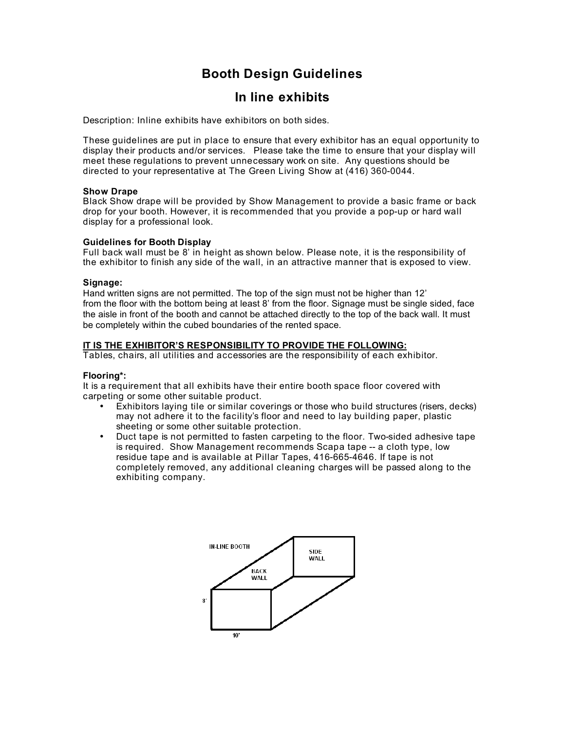# **Booth Design Guidelines**

# **In line exhibits**

Description: Inline exhibits have exhibitors on both sides.

These guidelines are put in place to ensure that every exhibitor has an equal opportunity to display their products and/or services. Please take the time to ensure that your display will meet these regulations to prevent unnecessary work on site. Any questions should be directed to your representative at The Green Living Show at (416) 360-0044.

## **Show Drape**

Black Show drape will be provided by Show Management to provide a basic frame or back drop for your booth. However, it is recommended that you provide a pop-up or hard wall display for a professional look.

### **Guidelines for Booth Display**

Full back wall must be 8' in height as shown below. Please note, it is the responsibility of the exhibitor to finish any side of the wall, in an attractive manner that is exposed to view.

## **Signage:**

Hand written signs are not permitted. The top of the sign must not be higher than 12' from the floor with the bottom being at least 8' from the floor. Signage must be single sided, face the aisle in front of the booth and cannot be attached directly to the top of the back wall. It must be completely within the cubed boundaries of the rented space.

## **IT IS THE EXHIBITOR'S RESPONSIBILITY TO PROVIDE THE FOLLOWING:**

Tables, chairs, all utilities and accessories are the responsibility of each exhibitor.

## **Flooring\*:**

It is a requirement that all exhibits have their entire booth space floor covered with carpeting or some other suitable product.

- Exhibitors laying tile or similar coverings or those who build structures (risers, decks) may not adhere it to the facility's floor and need to lay building paper, plastic sheeting or some other suitable protection.
- Duct tape is not permitted to fasten carpeting to the floor. Two-sided adhesive tape is required. Show Management recommends Scapa tape -- a cloth type, low residue tape and is available at Pillar Tapes, 416-665-4646. If tape is not completely removed, any additional cleaning charges will be passed along to the exhibiting company.

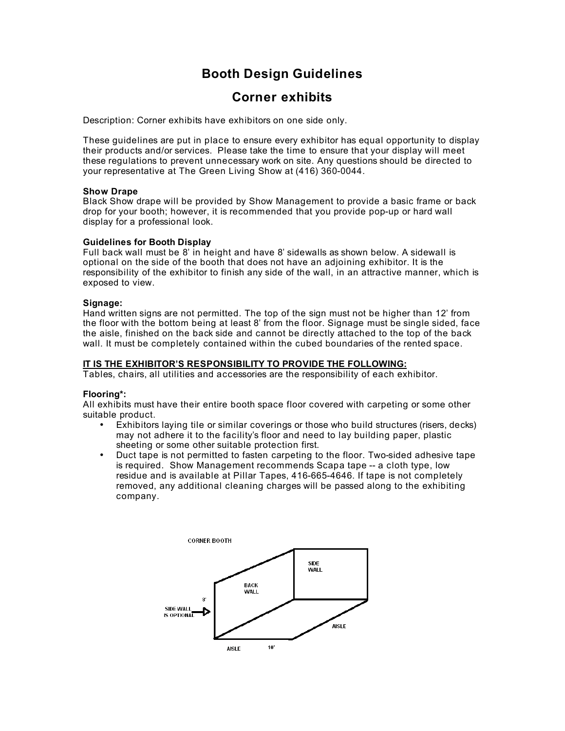# **Booth Design Guidelines**

# **Corner exhibits**

Description: Corner exhibits have exhibitors on one side only.

These guidelines are put in place to ensure every exhibitor has equal opportunity to display their products and/or services. Please take the time to ensure that your display will meet these regulations to prevent unnecessary work on site. Any questions should be directed to your representative at The Green Living Show at (416) 360-0044.

## **Show Drape**

Black Show drape will be provided by Show Management to provide a basic frame or back drop for your booth; however, it is recommended that you provide pop-up or hard wall display for a professional look.

### **Guidelines for Booth Display**

Full back wall must be 8' in height and have 8' sidewalls as shown below. A sidewall is optional on the side of the booth that does not have an adjoining exhibitor. It is the responsibility of the exhibitor to finish any side of the wall, in an attractive manner, which is exposed to view.

### **Signage:**

Hand written signs are not permitted. The top of the sign must not be higher than 12' from the floor with the bottom being at least 8' from the floor. Signage must be single sided, face the aisle, finished on the back side and cannot be directly attached to the top of the back wall. It must be completely contained within the cubed boundaries of the rented space.

## **IT IS THE EXHIBITOR'S RESPONSIBILITY TO PROVIDE THE FOLLOWING:**

Tables, chairs, all utilities and accessories are the responsibility of each exhibitor.

## **Flooring\*:**

All exhibits must have their entire booth space floor covered with carpeting or some other suitable product.

- Exhibitors laying tile or similar coverings or those who build structures (risers, decks) may not adhere it to the facility's floor and need to lay building paper, plastic sheeting or some other suitable protection first.
- Duct tape is not permitted to fasten carpeting to the floor. Two-sided adhesive tape is required. Show Management recommends Scapa tape -- a cloth type, low residue and is available at Pillar Tapes, 416-665-4646. If tape is not completely removed, any additional cleaning charges will be passed along to the exhibiting company.

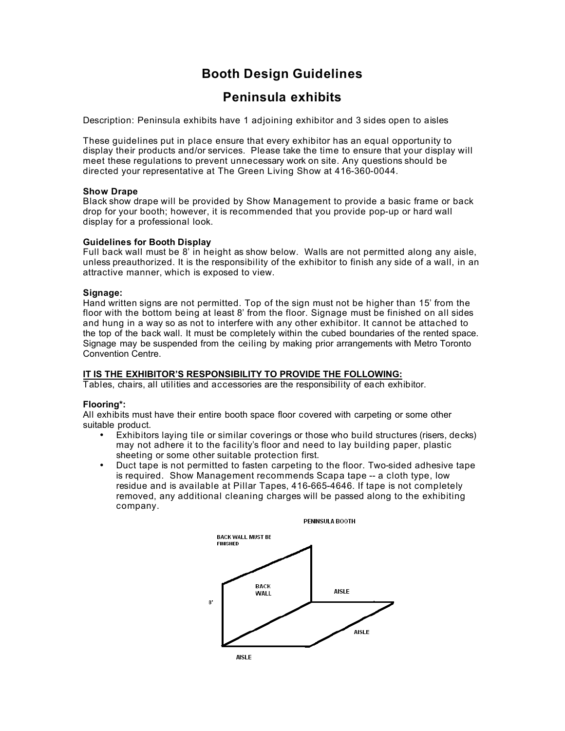# **Booth Design Guidelines**

# **Peninsula exhibits**

Description: Peninsula exhibits have 1 adjoining exhibitor and 3 sides open to aisles

These guidelines put in place ensure that every exhibitor has an equal opportunity to display their products and/or services. Please take the time to ensure that your display will meet these regulations to prevent unnecessary work on site. Any questions should be directed your representative at The Green Living Show at 416-360-0044.

## **Show Drape**

Black show drape will be provided by Show Management to provide a basic frame or back drop for your booth; however, it is recommended that you provide pop-up or hard wall display for a professional look.

### **Guidelines for Booth Display**

Full back wall must be 8' in height as show below. Walls are not permitted along any aisle, unless preauthorized. It is the responsibility of the exhibitor to finish any side of a wall, in an attractive manner, which is exposed to view.

## **Signage:**

Hand written signs are not permitted. Top of the sign must not be higher than 15' from the floor with the bottom being at least 8' from the floor. Signage must be finished on all sides and hung in a way so as not to interfere with any other exhibitor. It cannot be attached to the top of the back wall. It must be completely within the cubed boundaries of the rented space. Signage may be suspended from the ceiling by making prior arrangements with Metro Toronto Convention Centre.

## **IT IS THE EXHIBITOR'S RESPONSIBILITY TO PROVIDE THE FOLLOWING:**

Tables, chairs, all utilities and accessories are the responsibility of each exhibitor.

## **Flooring\*:**

All exhibits must have their entire booth space floor covered with carpeting or some other suitable product.

- Exhibitors laying tile or similar coverings or those who build structures (risers, decks) may not adhere it to the facility's floor and need to lay building paper, plastic sheeting or some other suitable protection first.
- Duct tape is not permitted to fasten carpeting to the floor. Two-sided adhesive tape is required. Show Management recommends Scapa tape -- a cloth type, low residue and is available at Pillar Tapes, 416-665-4646. If tape is not completely removed, any additional cleaning charges will be passed along to the exhibiting company.